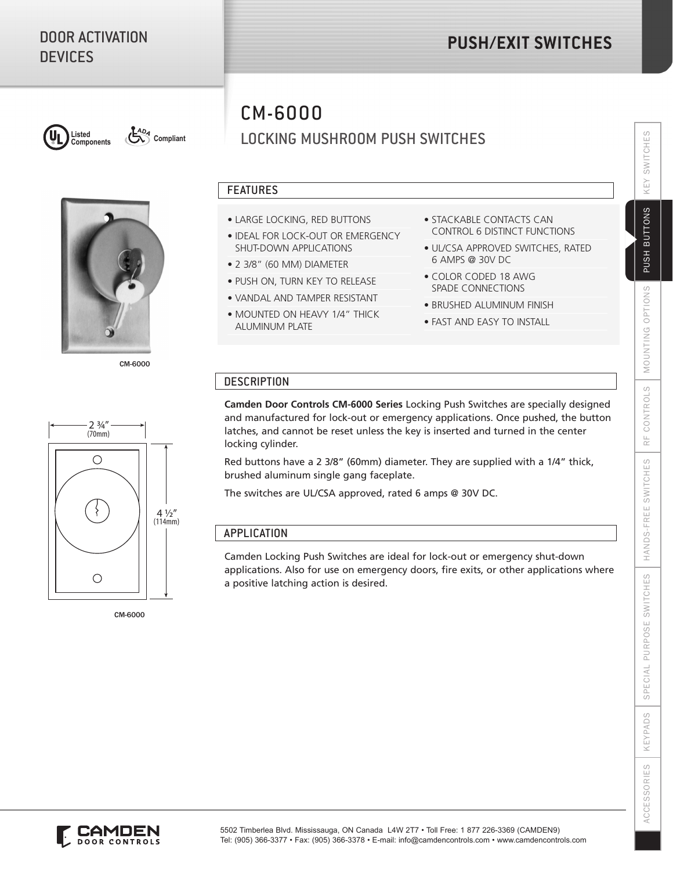# DOOR ACTIVATION **DEVICES**

# **PUSH/EXIT SWITCHES**



**ADA** Compliant



CM-6000

# CM-6000

LOCKING MUSHROOM PUSH SWITCHES

## FEATURES

- LARGE LOCKING, RED BUTTONS
- IDEAL FOR LOCK-OUT OR EMERGENCY SHUT-DOWN APPLICATIONS
- 2 3/8" (60 MM) DIAMETER
- PUSH ON, TURN KEY TO RELEASE
- VANDAL AND TAMPER RESISTANT
- MOUNTED ON HEAVY 1/4" THICK ALUMINUM PLATE
- STACKABLE CONTACTS CAN CONTROL 6 DISTINCT FUNCTIONS
- UL/CSA APPROVED SWITCHES, RATED 6 AMPS @ 30V DC
- COLOR CODED 18 AWG SPADE CONNECTIONS
- BRUSHED ALUMINUM FINISH
- FAST AND EASY TO INSTALL

## **DESCRIPTION**

**Camden Door Controls CM-6000 Series** Locking Push Switches are specially designed and manufactured for lock-out or emergency applications. Once pushed, the button latches, and cannot be reset unless the key is inserted and turned in the center locking cylinder.

Red buttons have a 2 3/8" (60mm) diameter. They are supplied with a 1/4" thick, brushed aluminum single gang faceplate.

The switches are UL/CSA approved, rated 6 amps @ 30V DC.

## APPLICATION

Camden Locking Push Switches are ideal for lock-out or emergency shut-down applications. Also for use on emergency doors, fire exits, or other applications where a positive latching action is desired.



CM-6000

SWITCHES

KEY

PUSH BUTTONS